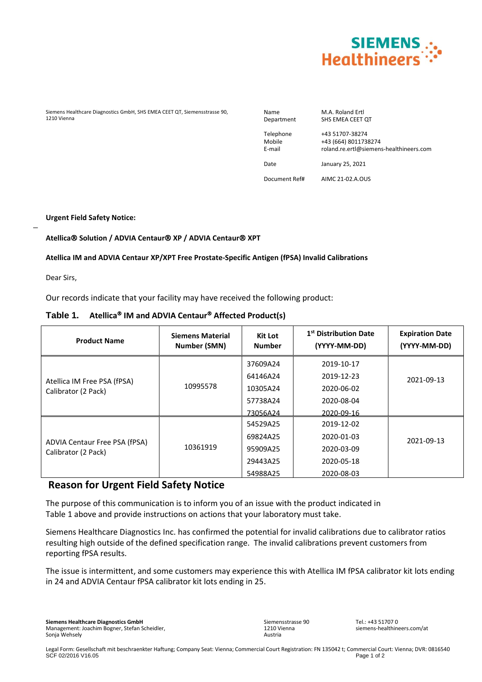

Siemens Healthcare Diagnostics GmbH, SHS EMEA CEET QT, Siemensstrasse 90, 1210 Vienna

Name M.A. Roland Ertl<br>Department SHS EMEA CEET SHS EMEA CEET QT

Telephone +43 51707-38274 Mobile +43 (664) 8011738274 E-mail roland.re.ertl@siemens-healthineers.com

Date January 25, 2021

Document Ref# AIMC 21-02.A.OUS

**Urgent Field Safety Notice:**

### **Atellica Solution / ADVIA Centaur XP / ADVIA Centaur XPT**

### **Atellica IM and ADVIA Centaur XP/XPT Free Prostate-Specific Antigen (fPSA) Invalid Calibrations**

Dear Sirs,

 $\overline{a}$ 

Our records indicate that your facility may have received the following product:

## **Table 1. Atellica IM and ADVIA Centaur Affected Product(s)**

| <b>Product Name</b>                                  | <b>Siemens Material</b><br>Number (SMN) | <b>Kit Lot</b><br><b>Number</b> | 1 <sup>st</sup> Distribution Date<br>(YYYY-MM-DD) | <b>Expiration Date</b><br>(YYYY-MM-DD) |
|------------------------------------------------------|-----------------------------------------|---------------------------------|---------------------------------------------------|----------------------------------------|
| Atellica IM Free PSA (fPSA)<br>Calibrator (2 Pack)   | 10995578                                | 37609A24                        | 2019-10-17                                        | 2021-09-13                             |
|                                                      |                                         | 64146A24                        | 2019-12-23                                        |                                        |
|                                                      |                                         | 10305A24                        | 2020-06-02                                        |                                        |
|                                                      |                                         | 57738A24                        | 2020-08-04                                        |                                        |
|                                                      |                                         | 73056A24                        | 2020-09-16                                        |                                        |
| ADVIA Centaur Free PSA (fPSA)<br>Calibrator (2 Pack) | 10361919                                | 54529A25                        | 2019-12-02                                        | 2021-09-13                             |
|                                                      |                                         | 69824A25                        | 2020-01-03                                        |                                        |
|                                                      |                                         | 95909A25                        | 2020-03-09                                        |                                        |
|                                                      |                                         | 29443A25                        | 2020-05-18                                        |                                        |
|                                                      |                                         | 54988A25                        | 2020-08-03                                        |                                        |

## **Reason for Urgent Field Safety Notice**

The purpose of this communication is to inform you of an issue with the product indicated in Table 1 above and provide instructions on actions that your laboratory must take.

Siemens Healthcare Diagnostics Inc. has confirmed the potential for invalid calibrations due to calibrator ratios resulting high outside of the defined specification range. The invalid calibrations prevent customers from reporting fPSA results.

The issue is intermittent, and some customers may experience this with Atellica IM fPSA calibrator kit lots ending in 24 and ADVIA Centaur fPSA calibrator kit lots ending in 25.

Sonja Wehsely **Siemens Healthcare Diagnostics GmbH** Management: Joachim Bogner, Stefan Scheidler, Siemensstrasse 90 1210 Vienna Austria

 $Tel: +43517070$ siemens-healthineers.com/at